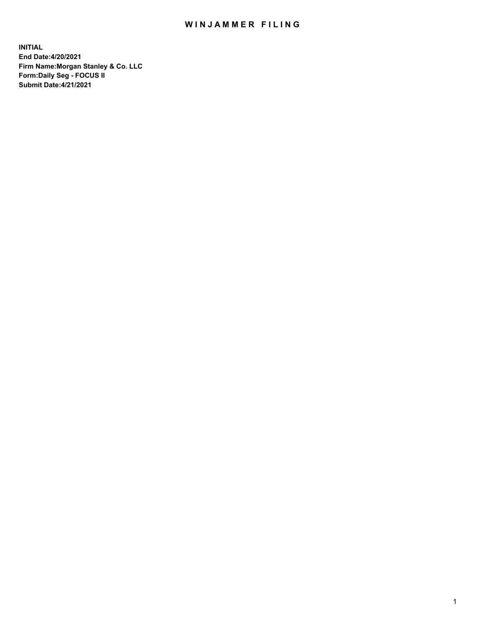## WIN JAMMER FILING

**INITIAL End Date:4/20/2021 Firm Name:Morgan Stanley & Co. LLC Form:Daily Seg - FOCUS II Submit Date:4/21/2021**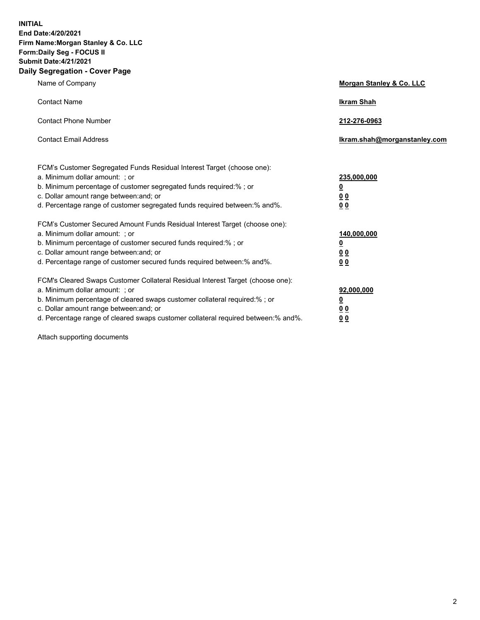**INITIAL End Date:4/20/2021 Firm Name:Morgan Stanley & Co. LLC Form:Daily Seg - FOCUS II Submit Date:4/21/2021 Daily Segregation - Cover Page**

| Name of Company                                                                                                                                                                                                                                                                                                                | <b>Morgan Stanley &amp; Co. LLC</b>                     |
|--------------------------------------------------------------------------------------------------------------------------------------------------------------------------------------------------------------------------------------------------------------------------------------------------------------------------------|---------------------------------------------------------|
| <b>Contact Name</b>                                                                                                                                                                                                                                                                                                            | <b>Ikram Shah</b>                                       |
| <b>Contact Phone Number</b>                                                                                                                                                                                                                                                                                                    | 212-276-0963                                            |
| <b>Contact Email Address</b>                                                                                                                                                                                                                                                                                                   | Ikram.shah@morganstanley.com                            |
| FCM's Customer Segregated Funds Residual Interest Target (choose one):<br>a. Minimum dollar amount: ; or<br>b. Minimum percentage of customer segregated funds required:% ; or<br>c. Dollar amount range between: and; or                                                                                                      | 235,000,000<br><u>0</u><br><u>00</u>                    |
| d. Percentage range of customer segregated funds required between:% and%.<br>FCM's Customer Secured Amount Funds Residual Interest Target (choose one):                                                                                                                                                                        | 0 <sup>0</sup>                                          |
| a. Minimum dollar amount: ; or<br>b. Minimum percentage of customer secured funds required:%; or<br>c. Dollar amount range between: and; or<br>d. Percentage range of customer secured funds required between: % and %.                                                                                                        | 140,000,000<br><u>0</u><br><u>0 0</u><br>0 <sub>0</sub> |
| FCM's Cleared Swaps Customer Collateral Residual Interest Target (choose one):<br>a. Minimum dollar amount: ; or<br>b. Minimum percentage of cleared swaps customer collateral required:% ; or<br>c. Dollar amount range between: and; or<br>d. Percentage range of cleared swaps customer collateral required between:% and%. | 92,000,000<br><u>0</u><br>0 Q<br>0 <sub>0</sub>         |

Attach supporting documents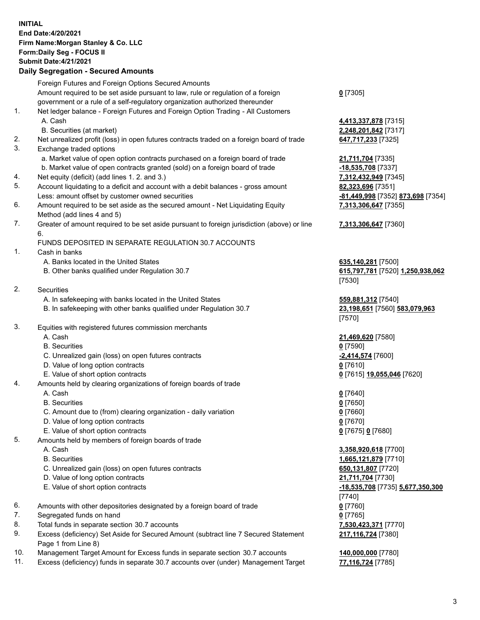## **INITIAL End Date:4/20/2021 Firm Name:Morgan Stanley & Co. LLC Form:Daily Seg - FOCUS II Submit Date:4/21/2021**

## **Daily Segregation - Secured Amounts**

Foreign Futures and Foreign Options Secured Amounts Amount required to be set aside pursuant to law, rule or regulation of a foreign government or a rule of a self-regulatory organization authorized thereunder **0** [7305] 1. Net ledger balance - Foreign Futures and Foreign Option Trading - All Customers A. Cash **4,413,337,878** [7315] B. Securities (at market) **2,248,201,842** [7317] 2. Net unrealized profit (loss) in open futures contracts traded on a foreign board of trade **647,717,233** [7325] 3. Exchange traded options a. Market value of open option contracts purchased on a foreign board of trade **21,711,704** [7335] b. Market value of open contracts granted (sold) on a foreign board of trade **-18,535,708** [7337] 4. Net equity (deficit) (add lines 1. 2. and 3.) **7,312,432,949** [7345] 5. Account liquidating to a deficit and account with a debit balances - gross amount **82,323,696** [7351] Less: amount offset by customer owned securities **-81,449,998** [7352] **873,698** [7354] 6. Amount required to be set aside as the secured amount - Net Liquidating Equity Method (add lines 4 and 5) 7. Greater of amount required to be set aside pursuant to foreign jurisdiction (above) or line 6. FUNDS DEPOSITED IN SEPARATE REGULATION 30.7 ACCOUNTS 1. Cash in banks A. Banks located in the United States **635,140,281** [7500] B. Other banks qualified under Regulation 30.7 **615,797,781** [7520] **1,250,938,062** [7530] 2. Securities A. In safekeeping with banks located in the United States **559,881,312** [7540] B. In safekeeping with other banks qualified under Regulation 30.7 **23,198,651** [7560] **583,079,963** [7570] 3. Equities with registered futures commission merchants A. Cash **21,469,620** [7580] B. Securities **0** [7590] C. Unrealized gain (loss) on open futures contracts **-2,414,574** [7600] D. Value of long option contracts **0** [7610] E. Value of short option contracts **0** [7615] **19,055,046** [7620] 4. Amounts held by clearing organizations of foreign boards of trade A. Cash **0** [7640] B. Securities **0** [7650] C. Amount due to (from) clearing organization - daily variation **0** [7660] D. Value of long option contracts **0** [7670] E. Value of short option contracts **0** [7675] **0** [7680] 5. Amounts held by members of foreign boards of trade A. Cash **3,358,920,618** [7700] B. Securities **1,665,121,879** [7710] C. Unrealized gain (loss) on open futures contracts **650,131,807** [7720] D. Value of long option contracts **21,711,704** [7730] E. Value of short option contracts **-18,535,708** [7735] **5,677,350,300** [7740] 6. Amounts with other depositories designated by a foreign board of trade **0** [7760] 7. Segregated funds on hand **0** [7765] 8. Total funds in separate section 30.7 accounts **7,530,423,371** [7770] 9. Excess (deficiency) Set Aside for Secured Amount (subtract line 7 Secured Statement Page 1 from Line 8)

- 10. Management Target Amount for Excess funds in separate section 30.7 accounts **140,000,000** [7780]
- 11. Excess (deficiency) funds in separate 30.7 accounts over (under) Management Target **77,116,724** [7785]

**7,313,306,647** [7355]

## **7,313,306,647** [7360]

**217,116,724** [7380]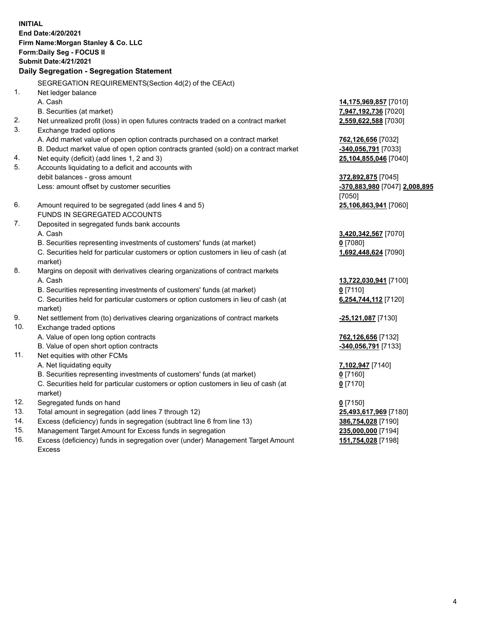**INITIAL End Date:4/20/2021 Firm Name:Morgan Stanley & Co. LLC Form:Daily Seg - FOCUS II Submit Date:4/21/2021 Daily Segregation - Segregation Statement** SEGREGATION REQUIREMENTS(Section 4d(2) of the CEAct) 1. Net ledger balance A. Cash **14,175,969,857** [7010] B. Securities (at market) **7,947,192,736** [7020] 2. Net unrealized profit (loss) in open futures contracts traded on a contract market **2,559,622,588** [7030] 3. Exchange traded options A. Add market value of open option contracts purchased on a contract market **762,126,656** [7032] B. Deduct market value of open option contracts granted (sold) on a contract market **-340,056,791** [7033] 4. Net equity (deficit) (add lines 1, 2 and 3) **25,104,855,046** [7040] 5. Accounts liquidating to a deficit and accounts with debit balances - gross amount **372,892,875** [7045] Less: amount offset by customer securities **-370,883,980** [7047] **2,008,895** [7050] 6. Amount required to be segregated (add lines 4 and 5) **25,106,863,941** [7060] FUNDS IN SEGREGATED ACCOUNTS 7. Deposited in segregated funds bank accounts A. Cash **3,420,342,567** [7070] B. Securities representing investments of customers' funds (at market) **0** [7080] C. Securities held for particular customers or option customers in lieu of cash (at market) **1,692,448,624** [7090] 8. Margins on deposit with derivatives clearing organizations of contract markets A. Cash **13,722,030,941** [7100] B. Securities representing investments of customers' funds (at market) **0** [7110] C. Securities held for particular customers or option customers in lieu of cash (at market) **6,254,744,112** [7120] 9. Net settlement from (to) derivatives clearing organizations of contract markets **-25,121,087** [7130] 10. Exchange traded options A. Value of open long option contracts **762,126,656** [7132] B. Value of open short option contracts **and the set of our original contracts -340,056,791** [7133] 11. Net equities with other FCMs A. Net liquidating equity **7,102,947** [7140] B. Securities representing investments of customers' funds (at market) **0** [7160] C. Securities held for particular customers or option customers in lieu of cash (at market) **0** [7170] 12. Segregated funds on hand **0** [7150] 13. Total amount in segregation (add lines 7 through 12) **25,493,617,969** [7180] 14. Excess (deficiency) funds in segregation (subtract line 6 from line 13) **386,754,028** [7190] 15. Management Target Amount for Excess funds in segregation **235,000,000** [7194]

16. Excess (deficiency) funds in segregation over (under) Management Target Amount Excess

**151,754,028** [7198]